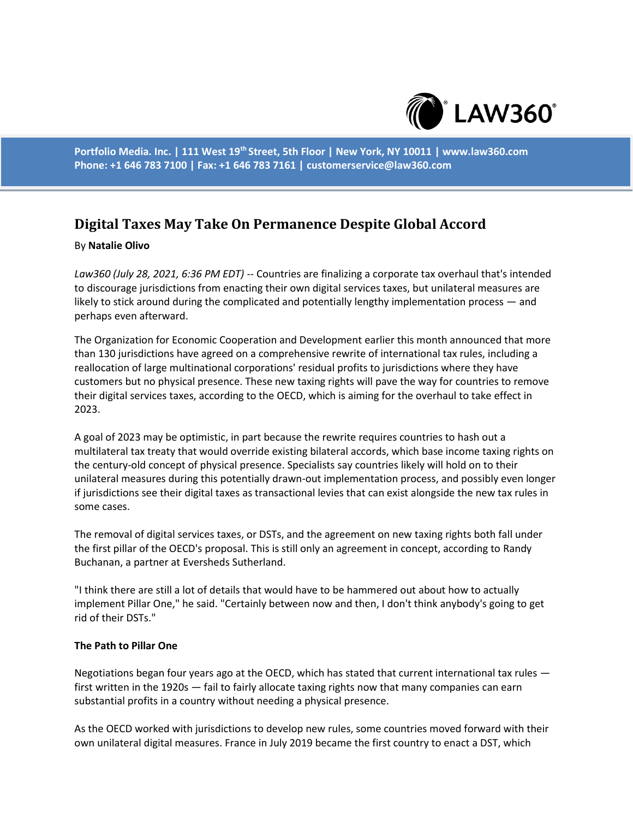

**Portfolio Media. Inc. | 111 West 19th Street, 5th Floor | New York, NY 10011 | www.law360.com Phone: +1 646 783 7100 | Fax: +1 646 783 7161 | customerservice@law360.com**

# **Digital Taxes May Take On Permanence Despite Global Accord**

# By **Natalie Olivo**

*Law360 (July 28, 2021, 6:36 PM EDT)* -- Countries are finalizing a corporate tax overhaul that's intended to discourage jurisdictions from enacting their own digital services taxes, but unilateral measures are likely to stick around during the complicated and potentially lengthy implementation process — and perhaps even afterward.

The Organization for Economic Cooperation and Development earlier this month announced that more than 130 jurisdictions have agreed on a comprehensive rewrite of international tax rules, including a reallocation of large multinational corporations' residual profits to jurisdictions where they have customers but no physical presence. These new taxing rights will pave the way for countries to remove their digital services taxes, according to the OECD, which is aiming for the overhaul to take effect in 2023.

A goal of 2023 may be optimistic, in part because the rewrite requires countries to hash out a multilateral tax treaty that would override existing bilateral accords, which base income taxing rights on the century-old concept of physical presence. Specialists say countries likely will hold on to their unilateral measures during this potentially drawn-out implementation process, and possibly even longer if jurisdictions see their digital taxes as transactional levies that can exist alongside the new tax rules in some cases.

The removal of digital services taxes, or DSTs, and the agreement on new taxing rights both fall under the first pillar of the OECD's proposal. This is still only an agreement in concept, according to Randy Buchanan, a partner at Eversheds Sutherland.

"I think there are still a lot of details that would have to be hammered out about how to actually implement Pillar One," he said. "Certainly between now and then, I don't think anybody's going to get rid of their DSTs."

### **The Path to Pillar One**

Negotiations began four years ago at the OECD, which has stated that current international tax rules first written in the 1920s — fail to fairly allocate taxing rights now that many companies can earn substantial profits in a country without needing a physical presence.

As the OECD worked with jurisdictions to develop new rules, some countries moved forward with their own unilateral digital measures. France in July 2019 became the first country to enact a DST, which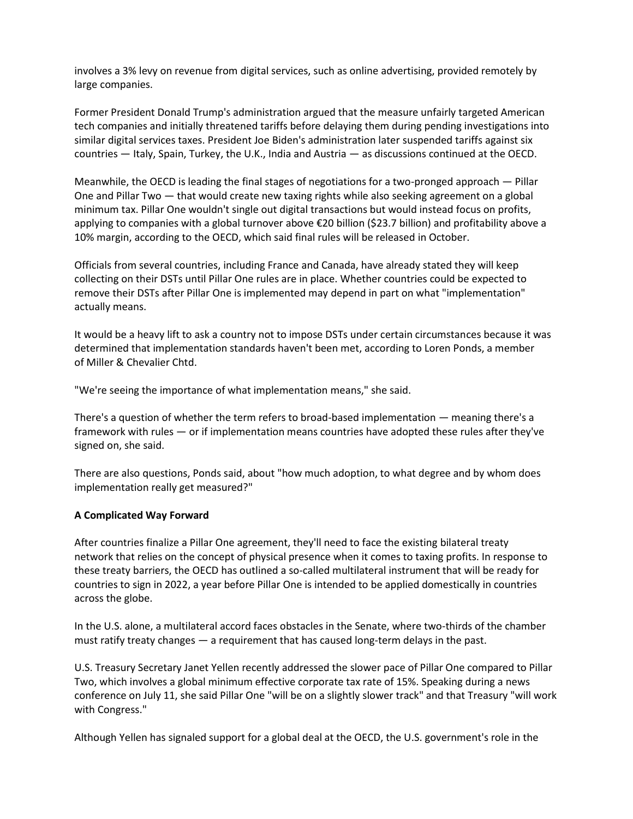involves a 3% levy on revenue from digital services, such as online advertising, provided remotely by large companies.

Former President Donald Trump's administration argued that the measure unfairly targeted American tech companies and initially threatened tariffs before delaying them during pending investigations into similar digital services taxes. President Joe Biden's administration later suspended tariffs against six countries — Italy, Spain, Turkey, the U.K., India and Austria — as discussions continued at the OECD.

Meanwhile, the OECD is leading the final stages of negotiations for a two-pronged approach — Pillar One and Pillar Two — that would create new taxing rights while also seeking agreement on a global minimum tax. Pillar One wouldn't single out digital transactions but would instead focus on profits, applying to companies with a global turnover above €20 billion (\$23.7 billion) and profitability above a 10% margin, according to the OECD, which said final rules will be released in October.

Officials from several countries, including France and Canada, have already stated they will keep collecting on their DSTs until Pillar One rules are in place. Whether countries could be expected to remove their DSTs after Pillar One is implemented may depend in part on what "implementation" actually means.

It would be a heavy lift to ask a country not to impose DSTs under certain circumstances because it was determined that implementation standards haven't been met, according to Loren Ponds, a member of Miller & Chevalier Chtd.

"We're seeing the importance of what implementation means," she said.

There's a question of whether the term refers to broad-based implementation — meaning there's a framework with rules — or if implementation means countries have adopted these rules after they've signed on, she said.

There are also questions, Ponds said, about "how much adoption, to what degree and by whom does implementation really get measured?"

# **A Complicated Way Forward**

After countries finalize a Pillar One agreement, they'll need to face the existing bilateral treaty network that relies on the concept of physical presence when it comes to taxing profits. In response to these treaty barriers, the OECD has outlined a so-called multilateral instrument that will be ready for countries to sign in 2022, a year before Pillar One is intended to be applied domestically in countries across the globe.

In the U.S. alone, a multilateral accord faces obstacles in the Senate, where two-thirds of the chamber must ratify treaty changes — a requirement that has caused long-term delays in the past.

U.S. Treasury Secretary Janet Yellen recently addressed the slower pace of Pillar One compared to Pillar Two, which involves a global minimum effective corporate tax rate of 15%. Speaking during a news conference on July 11, she said Pillar One "will be on a slightly slower track" and that Treasury "will work with Congress."

Although Yellen has signaled support for a global deal at the OECD, the U.S. government's role in the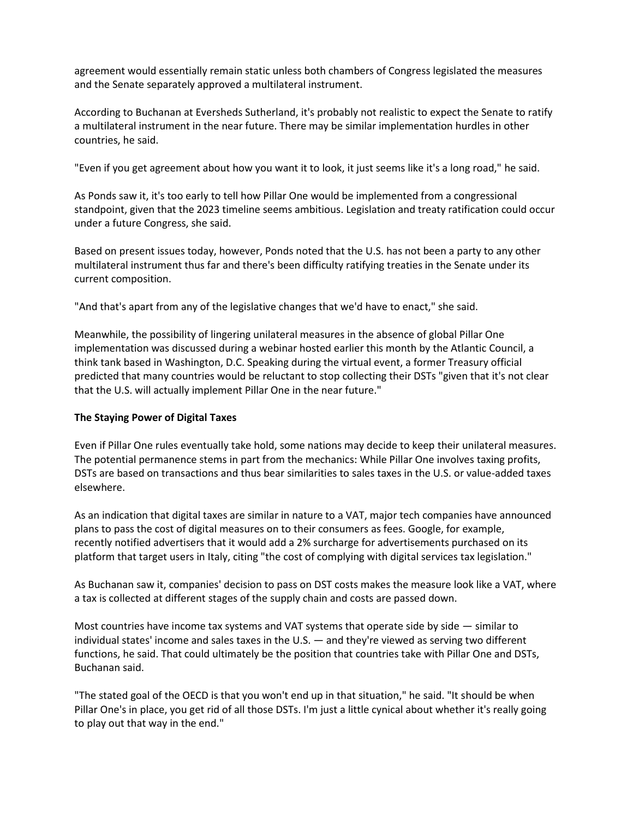agreement would essentially remain static unless both chambers of Congress legislated the measures and the Senate separately approved a multilateral instrument.

According to Buchanan at Eversheds Sutherland, it's probably not realistic to expect the Senate to ratify a multilateral instrument in the near future. There may be similar implementation hurdles in other countries, he said.

"Even if you get agreement about how you want it to look, it just seems like it's a long road," he said.

As Ponds saw it, it's too early to tell how Pillar One would be implemented from a congressional standpoint, given that the 2023 timeline seems ambitious. Legislation and treaty ratification could occur under a future Congress, she said.

Based on present issues today, however, Ponds noted that the U.S. has not been a party to any other multilateral instrument thus far and there's been difficulty ratifying treaties in the Senate under its current composition.

"And that's apart from any of the legislative changes that we'd have to enact," she said.

Meanwhile, the possibility of lingering unilateral measures in the absence of global Pillar One implementation was discussed during a webinar hosted earlier this month by the Atlantic Council, a think tank based in Washington, D.C. Speaking during the virtual event, a former Treasury official predicted that many countries would be reluctant to stop collecting their DSTs "given that it's not clear that the U.S. will actually implement Pillar One in the near future."

# **The Staying Power of Digital Taxes**

Even if Pillar One rules eventually take hold, some nations may decide to keep their unilateral measures. The potential permanence stems in part from the mechanics: While Pillar One involves taxing profits, DSTs are based on transactions and thus bear similarities to sales taxes in the U.S. or value-added taxes elsewhere.

As an indication that digital taxes are similar in nature to a VAT, major tech companies have announced plans to pass the cost of digital measures on to their consumers as fees. Google, for example, recently notified advertisers that it would add a 2% surcharge for advertisements purchased on its platform that target users in Italy, citing "the cost of complying with digital services tax legislation."

As Buchanan saw it, companies' decision to pass on DST costs makes the measure look like a VAT, where a tax is collected at different stages of the supply chain and costs are passed down.

Most countries have income tax systems and VAT systems that operate side by side  $-$  similar to individual states' income and sales taxes in the U.S. — and they're viewed as serving two different functions, he said. That could ultimately be the position that countries take with Pillar One and DSTs, Buchanan said.

"The stated goal of the OECD is that you won't end up in that situation," he said. "It should be when Pillar One's in place, you get rid of all those DSTs. I'm just a little cynical about whether it's really going to play out that way in the end."